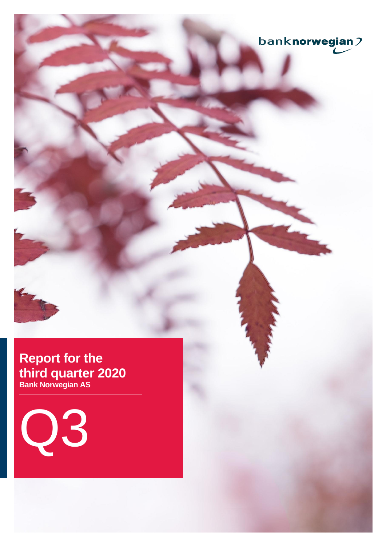

# **Report for the third quarter 2020 Bank Norwegian AS**

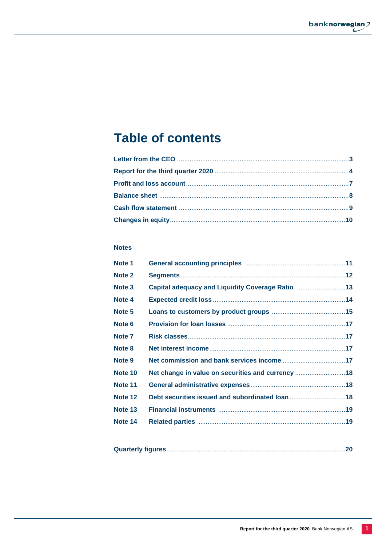# **Table of contents**

## **Notes**

| Note 1            |                                                   |  |
|-------------------|---------------------------------------------------|--|
| Note <sub>2</sub> |                                                   |  |
| Note 3            | Capital adequacy and Liquidity Coverage Ratio 13  |  |
| Note 4            |                                                   |  |
| Note 5            |                                                   |  |
| Note 6            |                                                   |  |
| Note <sub>7</sub> |                                                   |  |
| Note 8            |                                                   |  |
| Note 9            |                                                   |  |
| Note 10           | Net change in value on securities and currency 18 |  |
| Note 11           |                                                   |  |
| Note 12           | Debt securities issued and subordinated loan 18   |  |
| Note 13           |                                                   |  |
| Note 14           |                                                   |  |
|                   |                                                   |  |

|--|--|--|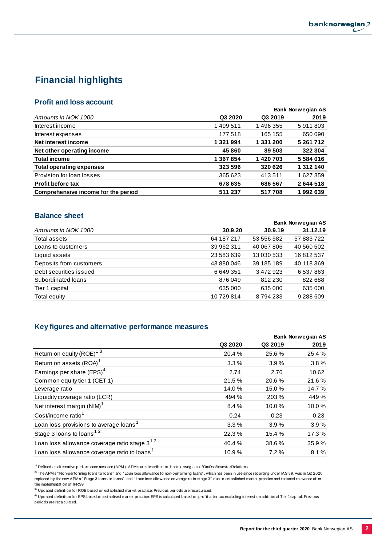## **Financial highlights**

## **Profit and loss account**

|                                     |           |           | <b>Bank Norwegian AS</b> |
|-------------------------------------|-----------|-----------|--------------------------|
| Amounts in NOK 1000                 | Q3 2020   | Q3 2019   | 2019                     |
| Interest income                     | 1499511   | 1496355   | 5911803                  |
| Interest expenses                   | 177518    | 165 155   | 650 090                  |
| Net interest income                 | 1 321 994 | 1 331 200 | 5 261 712                |
| Net other operating income          | 45 860    | 89 503    | 322 304                  |
| <b>Total income</b>                 | 1 367 854 | 1420703   | 5584016                  |
| <b>Total operating expenses</b>     | 323 596   | 320 626   | 1312140                  |
| Provision for loan losses           | 365 623   | 413511    | 1627359                  |
| <b>Profit before tax</b>            | 678 635   | 686 567   | 2644518                  |
| Comprehensive income for the period | 511 237   | 517708    | 1992639                  |

## **Balance sheet**

|            | <b>Bank Norwegian AS</b> |            |  |
|------------|--------------------------|------------|--|
| 30.9.20    | 30.9.19                  | 31.12.19   |  |
| 64 187 217 | 53 556 582               | 57 883 722 |  |
| 39 962 311 | 40 067 806               | 40 560 502 |  |
| 23 583 639 | 13 030 533               | 16812537   |  |
| 43 880 046 | 39 185 189               | 40 118 369 |  |
| 6649351    | 3 472 923                | 6537863    |  |
| 876049     | 812 230                  | 822 688    |  |
| 635 000    | 635 000                  | 635 000    |  |
| 10729814   | 8 794 233                | 9 288 609  |  |
|            |                          |            |  |

## **Key figures and alternative performance measures**

|         | <b>Bank Norwegian AS</b> |        |
|---------|--------------------------|--------|
| Q3 2020 | Q3 2019                  | 2019   |
| 20.4 %  | 25.6%                    | 25.4 % |
| 3.3%    | 3.9%                     | 3.8%   |
| 2.74    | 2.76                     | 10.62  |
| 21.5 %  | 20.6%                    | 21.6%  |
| 14.0%   | 15.0%                    | 14.7 % |
| 494 %   | 203 %                    | 449 %  |
| 8.4 %   | 10.0%                    | 10.0%  |
| 0.24    | 0.23                     | 0.23   |
| 3.3%    | 3.9%                     | 3.9%   |
| 22.3%   | 15.4 %                   | 17.3 % |
| 40.4 %  | 38.6%                    | 35.9%  |
| 10.9%   | 7.2%                     | 8.1%   |
|         |                          |        |

 $1)$  Defined as alternative performance measure (APM). APM s are described on banknorwegian.no/OmOss/InvestorRelations

<sup>2)</sup> The APM s "Non-performing loans to loans" and "Loan loss allowance to non-performing loans", which has been in use since reporting under IAS 39, was in Q2 2020 replaced by the new APM s " Stage 3 loans to loans" and " Loan loss allowance coverage ratio stage 3" due to established market practice and reduced relevance after the implementation of IFRS9

 $3)$  Updated definition for ROE based on established market practice. Previous periods are recalculated.

<sup>4)</sup> Updated definition for EPS based on establised market practice. EPS is calculated based on profit after tax excluding interest on additional Tier 1 capital. Previous periods are recalculated.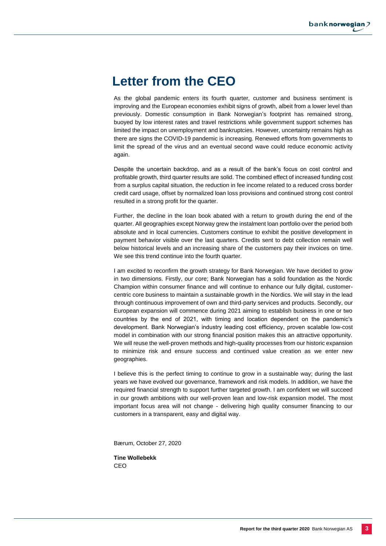# **Letter from the CEO**

As the global pandemic enters its fourth quarter, customer and business sentiment is improving and the European economies exhibit signs of growth, albeit from a lower level than previously. Domestic consumption in Bank Norwegian's footprint has remained strong, buoyed by low interest rates and travel restrictions while government support schemes has limited the impact on unemployment and bankruptcies. However, uncertainty remains high as there are signs the COVID-19 pandemic is increasing. Renewed efforts from governments to limit the spread of the virus and an eventual second wave could reduce economic activity again.

Despite the uncertain backdrop, and as a result of the bank's focus on cost control and profitable growth, third quarter results are solid. The combined effect of increased funding cost from a surplus capital situation, the reduction in fee income related to a reduced cross border credit card usage, offset by normalized loan loss provisions and continued strong cost control resulted in a strong profit for the quarter.

Further, the decline in the loan book abated with a return to growth during the end of the quarter. All geographies except Norway grew the instalment loan portfolio over the period both absolute and in local currencies. Customers continue to exhibit the positive development in payment behavior visible over the last quarters. Credits sent to debt collection remain well below historical levels and an increasing share of the customers pay their invoices on time. We see this trend continue into the fourth quarter.

I am excited to reconfirm the growth strategy for Bank Norwegian. We have decided to grow in two dimensions. Firstly, our core; Bank Norwegian has a solid foundation as the Nordic Champion within consumer finance and will continue to enhance our fully digital, customercentric core business to maintain a sustainable growth in the Nordics. We will stay in the lead through continuous improvement of own and third-party services and products. Secondly, our European expansion will commence during 2021 aiming to establish business in one or two countries by the end of 2021, with timing and location dependent on the pandemic's development. Bank Norwegian's industry leading cost efficiency, proven scalable low-cost model in combination with our strong financial position makes this an attractive opportunity. We will reuse the well-proven methods and high-quality processes from our historic expansion to minimize risk and ensure success and continued value creation as we enter new geographies.

I believe this is the perfect timing to continue to grow in a sustainable way; during the last years we have evolved our governance, framework and risk models. In addition, we have the required financial strength to support further targeted growth. I am confident we will succeed in our growth ambitions with our well-proven lean and low-risk expansion model. The most important focus area will not change - delivering high quality consumer financing to our customers in a transparent, easy and digital way.

Bærum, October 27, 2020

**Tine Wollebekk** CEO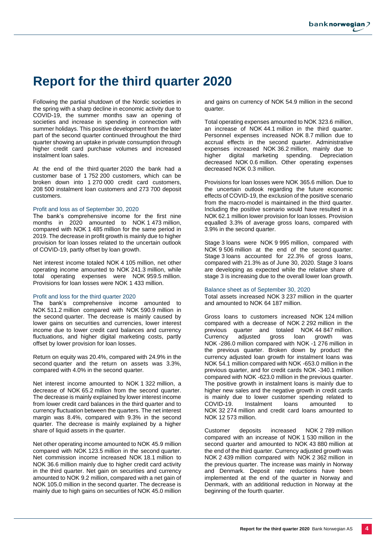# **Report for the third quarter 2020**

Following the partial shutdown of the Nordic societies in the spring with a sharp decline in economic activity due to COVID-19, the summer months saw an opening of societies and increase in spending in connection with summer holidays. This positive development from the later part of the second quarter continued throughout the third quarter showing an uptake in private consumption through higher credit card purchase volumes and increased instalment loan sales.

At the end of the third quarter 2020 the bank had a customer base of 1 752 200 customers, which can be broken down into 1 270 000 credit card customers, 208 500 instalment loan customers and 273 700 deposit customers.

#### Profit and loss as of September 30, 2020

The bank's comprehensive income for the first nine months in 2020 amounted to NOK 1 473 million, compared with NOK 1 485 million for the same period in 2019. The decrease in profit growth is mainly due to higher provision for loan losses related to the uncertain outlook of COVID-19, partly offset by loan growth.

Net interest income totaled NOK 4 105 million, net other operating income amounted to NOK 241.3 million, while total operating expenses were NOK 959.5 million. Provisions for loan losses were NOK 1 433 million.

### Profit and loss for the third quarter 2020

The bank's comprehensive income amounted to NOK 511.2 million compared with NOK 590.9 million in the second quarter. The decrease is mainly caused by lower gains on securities and currencies, lower interest income due to lower credit card balances and currency fluctuations, and higher digital marketing costs, partly offset by lower provision for loan losses.

Return on equity was 20.4%, compared with 24.9% in the second quarter and the return on assets was 3.3%, compared with 4.0% in the second quarter.

Net interest income amounted to NOK 1 322 million, a decrease of NOK 65.2 million from the second quarter. The decrease is mainly explained by lower interest income from lower credit card balances in the third quarter and to currency fluctuation between the quarters. The net interest margin was 8.4%, compared with 9.3% in the second quarter. The decrease is mainly explained by a higher share of liquid assets in the quarter.

Net other operating income amounted to NOK 45.9 million compared with NOK 123.5 million in the second quarter. Net commission income increased NOK 18.1 million to NOK 36.6 million mainly due to higher credit card activity in the third quarter. Net gain on securities and currency amounted to NOK 9.2 million, compared with a net gain of NOK 105.0 million in the second quarter. The decrease is mainly due to high gains on securities of NOK 45.0 million

and gains on currency of NOK 54.9 million in the second quarter.

Total operating expenses amounted to NOK 323.6 million, an increase of NOK 44.1 million in the third quarter. Personnel expenses increased NOK 8.7 million due to accrual effects in the second quarter. Administrative expenses increased NOK 36.2 million, mainly due to higher digital marketing spending. Depreciation decreased NOK 0.6 million. Other operating expenses decreased NOK 0.3 million.

Provisions for loan losses were NOK 365.6 million. Due to the uncertain outlook regarding the future economic effects of COVID-19, the exclusion of the positive scenario from the macro-model is maintained in the third quarter. Including the positive scenario would have resulted in a NOK 62.1 million lower provision for loan losses. Provision equalled 3.3% of average gross loans, compared with 3.9% in the second quarter.

Stage 3 loans were NOK 9 995 million, compared with NOK 9 506 million at the end of the second quarter. Stage 3 loans accounted for 22.3% of gross loans, compared with 21.3% as of June 30, 2020. Stage 3 loans are developing as expected while the relative share of stage 3 is increasing due to the overall lower loan growth.

#### Balance sheet as of September 30, 2020

Total assets increased NOK 3 237 million in the quarter and amounted to NOK 64 187 million.

Gross loans to customers increased NOK 124 million compared with a decrease of NOK 2 292 million in the previous quarter and totaled NOK 44 847 million. Currency adjusted gross loan growth was NOK -286.0 million compared with NOK -1 276 million in the previous quarter. Broken down by product the currency adjusted loan growth for instalment loans was NOK 54.1 million compared with NOK -653.0 million in the previous quarter, and for credit cards NOK -340.1 million compared with NOK -623.0 million in the previous quarter. The positive growth in instalment loans is mainly due to higher new sales and the negative growth in credit cards is mainly due to lower customer spending related to COVID-19. Instalment loans amounted to NOK 32 274 million and credit card loans amounted to NOK 12 573 million.

Customer deposits increased NOK 2 789 million compared with an increase of NOK 1 530 million in the second quarter and amounted to NOK 43 880 million at the end of the third quarter. Currency adjusted growth was NOK 2 439 million compared with NOK 2 362 million in the previous quarter. The increase was mainly in Norway and Denmark. Deposit rate reductions have been implemented at the end of the quarter in Norway and Denmark, with an additional reduction in Norway at the beginning of the fourth quarter.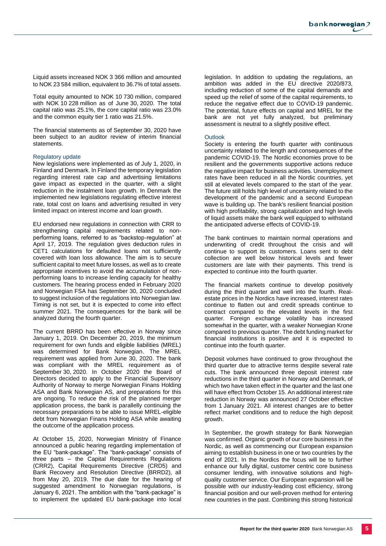Liquid assets increased NOK 3 366 million and amounted to NOK 23 584 million, equivalent to 36.7% of total assets.

Total equity amounted to NOK 10 730 million, compared with NOK 10 228 million as of June 30, 2020. The total capital ratio was 25.1%, the core capital ratio was 23.0% and the common equity tier 1 ratio was 21.5%.

The financial statements as of September 30, 2020 have been subject to an auditor review of interim financial statements.

### Regulatory update

New legislations were implemented as of July 1, 2020, in Finland and Denmark. In Finland the temporary legislation regarding interest rate cap and advertising limitations gave impact as expected in the quarter, with a slight reduction in the instalment loan growth. In Denmark the implemented new legislations regulating effective interest rate, total cost on loans and advertising resulted in very limited impact on interest income and loan growth.

EU endorsed new regulations in connection with CRR to strengthening capital requirements related to nonperforming loans, referred to as "backstop-regulation" at April 17, 2019. The regulation gives deduction rules in CET1 calculations for defaulted loans not sufficiently covered with loan loss allowance. The aim is to secure sufficient capital to meet future losses, as well as to create appropriate incentives to avoid the accumulation of nonperforming loans to increase lending capacity for healthy customers. The hearing process ended in February 2020 and Norwegian FSA has September 30, 2020 concluded to suggest inclusion of the regulations into Norwegian law. Timing is not set, but it is expected to come into effect summer 2021. The consequences for the bank will be analyzed during the fourth quarter.

The current BRRD has been effective in Norway since January 1, 2019. On December 20, 2019, the minimum requirement for own funds and eligible liabilities (MREL) was determined for Bank Norwegian. The MREL requirement was applied from June 30, 2020. The bank was compliant with the MREL requirement as of September 30, 2020. In October 2020 the Board of Directors decided to apply to the Financial Supervisory Authority of Norway to merge Norwegian Finans Holding ASA and Bank Norwegian AS, and preparations for this are ongoing. To reduce the risk of the planned merger application process, the bank is parallelly continuing the necessary preparations to be able to issue MREL-eligible debt from Norwegian Finans Holding ASA while awaiting the outcome of the application process.

At October 15, 2020, Norwegian Ministry of Finance announced a public hearing regarding implementation of the EU "bank-package". The "bank-package" consists of three parts – the Capital Requirements Regulations (CRR2), Capital Requirements Directive (CRD5) and Bank Recovery and Resolution Directive (BRRD2), all from May 20, 2019. The due date for the hearing of suggested amendment to Norwegian regulations, is January 6, 2021. The ambition with the "bank-package" is to implement the updated EU bank-package into local

legislation. In addition to updating the regulations, an ambition was added in the EU directive 2020/873, including reduction of some of the capital demands and speed up the relief of some of the capital requirements, to reduce the negative effect due to COVID-19 pandemic. The potential, future effects on capital and MREL for the bank are not yet fully analyzed, but preliminary assessment is neutral to a slightly positive effect.

### **Outlook**

Society is entering the fourth quarter with continuous uncertainty related to the length and consequences of the pandemic COVID-19. The Nordic economies prove to be resilient and the governments supportive actions reduce the negative impact for business activities. Unemployment rates have been reduced in all the Nordic countries, yet still at elevated levels compared to the start of the year. The future still holds high level of uncertainty related to the development of the pandemic and a second European wave is building up. The bank's resilient financial position with high profitability, strong capitalization and high levels of liquid assets make the bank well equipped to withstand the anticipated adverse effects of COVID-19.

The bank continues to maintain normal operations and underwriting of credit throughout the crisis and will continue to support its customers. Loans sent to debt collection are well below historical levels and fewer customers are late with their payments. This trend is expected to continue into the fourth quarter.

The financial markets continue to develop positively during the third quarter and well into the fourth. Realestate prices in the Nordics have increased, interest rates continue to flatten out and credit spreads continue to contract compared to the elevated levels in the first quarter. Foreign exchange volatility has increased somewhat in the quarter, with a weaker Norwegian Krone compared to previous quarter. The debt funding market for financial institutions is positive and it is expected to continue into the fourth quarter.

Deposit volumes have continued to grow throughout the third quarter due to attractive terms despite several rate cuts. The bank announced three deposit interest rate reductions in the third quarter in Norway and Denmark, of which two have taken effect in the quarter and the last one will have effect from October 15. An additional interest rate reduction in Norway was announced 27 October effective from 1 January 2021. All interest changes are to better reflect market conditions and to reduce the high deposit growth.

In September, the growth strategy for Bank Norwegian was confirmed. Organic growth of our core business in the Nordic, as well as commencing our European expansion aiming to establish business in one or two countries by the end of 2021. In the Nordics the focus will be to further enhance our fully digital, customer centric core business consumer lending, with innovative solutions and highquality customer service. Our European expansion will be possible with our industry-leading cost efficiency, strong financial position and our well-proven method for entering new countries in the past. Combining this strong historical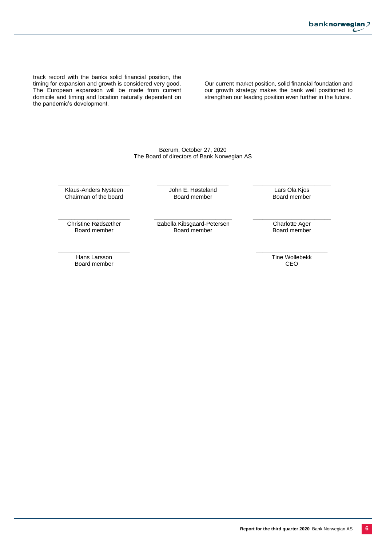banknorwegian? L

track record with the banks solid financial position, the timing for expansion and growth is considered very good. The European expansion will be made from current domicile and timing and location naturally dependent on the pandemic's development.

Our current market position, solid financial foundation and our growth strategy makes the bank well positioned to strengthen our leading position even further in the future.

Bærum, October 27, 2020 The Board of directors of Bank Norwegian AS

**\_\_\_\_\_\_\_\_\_\_\_\_\_\_\_\_\_\_\_\_\_\_** Klaus-Anders Nysteen Chairman of the board

**\_\_\_\_\_\_\_\_\_\_\_\_\_\_\_\_\_\_\_\_\_\_** John E. Høsteland Board member

**\_\_\_\_\_\_\_\_\_\_\_\_\_\_\_\_\_\_\_\_\_\_\_\_** Lars Ola Kjos Board member

**\_\_\_\_\_\_\_\_\_\_\_\_\_\_\_\_\_\_\_\_\_\_** Christine Rødsæther Board member

**\_\_\_\_\_\_\_\_\_\_\_\_\_\_\_\_\_\_\_\_\_\_\_\_** Izabella Kibsgaard-Petersen Board member

**\_\_\_\_\_\_\_\_\_\_\_\_\_\_\_\_\_\_\_\_\_\_\_\_** Charlotte Ager Board member

**\_\_\_\_\_\_\_\_\_\_\_\_\_\_\_\_\_\_\_\_\_\_** Hans Larsson Board member

**\_\_\_\_\_\_\_\_\_\_\_\_\_\_\_\_\_\_\_\_\_\_** Tine Wollebekk CEO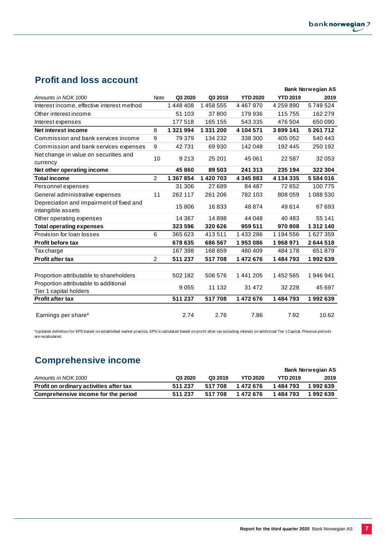## **Profit and loss account**

|                                                                 |                |               |           |                 |                 | <b>Bank Norwegian AS</b> |
|-----------------------------------------------------------------|----------------|---------------|-----------|-----------------|-----------------|--------------------------|
| Amounts in NOK 1000                                             | Note           | Q3 2020       | Q3 2019   | <b>YTD 2020</b> | <b>YTD 2019</b> | 2019                     |
| Interest income, effective interest method                      |                | 1448408       | 1 458 555 | 4467970         | 4 259 890       | 5749524                  |
| Other interest income                                           |                | 51 103        | 37800     | 179936          | 115 755         | 162 279                  |
| Interest expenses                                               |                | 177518        | 165 155   | 543 335         | 476 504         | 650 090                  |
| Net interest income                                             | 8              | 1 3 2 1 9 9 4 | 1 331 200 | 4 104 571       | 3899141         | 5 261 712                |
| Commission and bank services income                             | 9              | 79 379        | 134 232   | 338 300         | 405 052         | 540 443                  |
| Commission and bank services expenses                           | 9              | 42731         | 69930     | 142 048         | 192 445         | 250 192                  |
| Net change in value on securities and                           | 10             | 9213          | 25 201    | 45 061          | 22 5 8 7        | 32 053                   |
| currency                                                        |                |               |           |                 |                 |                          |
| Net other operating income                                      |                | 45 860        | 89 503    | 241 313         | 235 194         | 322 304                  |
| <b>Total income</b>                                             | $\overline{2}$ | 1 367 854     | 1420703   | 4 345 883       | 4 134 335       | 5584016                  |
| Personnel expenses                                              |                | 31 306        | 27 689    | 84 487          | 72 652          | 100775                   |
| General administrative expenses                                 | 11             | 262 117       | 261 206   | 782 103         | 808 059         | 1 088 530                |
| Depreciation and impairment of fixed and<br>intangible assets   |                | 15806         | 16833     | 48 874          | 49 614          | 67 693                   |
| Other operating expenses                                        |                | 14 3 67       | 14898     | 44 048          | 40 483          | 55 141                   |
| <b>Total operating expenses</b>                                 |                | 323 596       | 320 626   | 959 511         | 970 808         | 1 312 140                |
| Provision for loan losses                                       | 6              | 365 623       | 413511    | 1433286         | 1 194 556       | 1627359                  |
| <b>Profit before tax</b>                                        |                | 678 635       | 686 567   | 1953086         | 1968971         | 2644518                  |
| Tax charge                                                      |                | 167 398       | 168859    | 480 409         | 484 178         | 651879                   |
| <b>Profit after tax</b>                                         | $\overline{2}$ | 511 237       | 517708    | 1 472 676       | 1484793         | 1992639                  |
|                                                                 |                |               |           |                 |                 |                          |
| Proportion attributable to shareholders                         |                | 502 182       | 506 576   | 1 441 205       | 1 452 565       | 1946941                  |
| Proportion attributable to additional<br>Tier 1 capital holders |                | 9055          | 11 132    | 31 472          | 32 2 2 8        | 45 697                   |
| <b>Profit after tax</b>                                         |                | 511 237       | 517708    | 1 472 676       | 1 484 793       | 1992639                  |
| Earnings per share*                                             |                | 2.74          | 2.76      | 7.86            | 7.92            | 10.62                    |

\*Updated definition for EPS based on established market practice. EPS is calculated based on profit after tax excluding interest on additional Tier 1 Capital. Previous periods are recalculated.

# **Comprehensive income**

|                                         |         |         |                 |                 | Bank Norwegian AS |
|-----------------------------------------|---------|---------|-----------------|-----------------|-------------------|
| Amounts in NOK 1000                     | Q3 2020 | Q3 2019 | <b>YTD 2020</b> | <b>YTD 2019</b> | 2019              |
| Profit on ordinary activities after tax | 511 237 | 517 708 | 1 472 676       | 1 484 793       | 1 992 639         |
| Comprehensive income for the period     | 511 237 | 517 708 | 1472676         | 1484793         | 1 992 639         |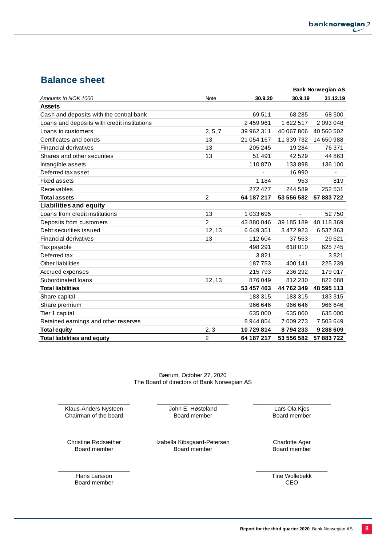## **Balance sheet**

|                                             |                |            |            | <b>Bank Norwegian AS</b> |
|---------------------------------------------|----------------|------------|------------|--------------------------|
| Amounts in NOK 1000                         | Note           | 30.9.20    | 30.9.19    | 31.12.19                 |
| <b>Assets</b>                               |                |            |            |                          |
| Cash and deposits with the central bank     |                | 69511      | 68 285     | 68 500                   |
| Loans and deposits with credit institutions |                | 2459961    | 1622517    | 2 093 048                |
| Loans to customers                          | 2, 5, 7        | 39 962 311 | 40 067 806 | 40 560 502               |
| Certificates and bonds                      | 13             | 21 054 167 | 11 339 732 | 14 650 988               |
| Financial derivatives                       | 13             | 205 245    | 19 2 84    | 76 371                   |
| Shares and other securities                 | 13             | 51 491     | 42 5 29    | 44 863                   |
| Intangible assets                           |                | 110870     | 133898     | 136 100                  |
| Deferred tax asset                          |                |            | 16 990     |                          |
| <b>Fixed assets</b>                         |                | 1 1 8 4    | 953        | 819                      |
| Receivables                                 |                | 272 477    | 244 589    | 252 531                  |
| <b>Total assets</b>                         | 2              | 64 187 217 | 53 556 582 | 57 883 722               |
| <b>Liabilities and equity</b>               |                |            |            |                          |
| Loans from credit institutions              | 13             | 1 033 695  | ÷,         | 52750                    |
| Deposits from customers                     | $\overline{2}$ | 43 880 046 | 39 185 189 | 40 118 369               |
| Debt securities issued                      | 12, 13         | 6649351    | 3 472 923  | 6 537 863                |
| <b>Financial derivatives</b>                | 13             | 112 604    | 37 563     | 29 6 21                  |
| Tax payable                                 |                | 498 291    | 618010     | 625 745                  |
| Deferred tax                                |                | 3821       |            | 3821                     |
| Other liabilities                           |                | 187753     | 400 141    | 225 239                  |
| Accrued expenses                            |                | 215793     | 236 292    | 179 017                  |
| Subordinated loans                          | 12, 13         | 876049     | 812 230    | 822 688                  |
| <b>Total liabilities</b>                    |                | 53 457 403 | 44 762 349 | 48 595 113               |
| Share capital                               |                | 183315     | 183315     | 183 315                  |
| Share premium                               |                | 966 646    | 966 646    | 966 646                  |
| Tier 1 capital                              |                | 635 000    | 635 000    | 635 000                  |
| Retained earnings and other reserves        |                | 8 944 854  | 7 009 273  | 7 503 649                |
| <b>Total equity</b>                         | 2, 3           | 10729814   | 8794233    | 9 288 609                |
| <b>Total liabilities and equity</b>         | $\overline{2}$ | 64 187 217 | 53 556 582 | 57 883 722               |

Bærum, October 27, 2020 The Board of directors of Bank Norwegian AS

**\_\_\_\_\_\_\_\_\_\_\_\_\_\_\_\_\_\_\_\_\_\_** Klaus-Anders Nysteen Chairman of the board

**\_\_\_\_\_\_\_\_\_\_\_\_\_\_\_\_\_\_\_\_\_\_** John E. Høsteland Board member

**\_\_\_\_\_\_\_\_\_\_\_\_\_\_\_\_\_\_\_\_\_\_** Christine Rødsæther Board member

**\_\_\_\_\_\_\_\_\_\_\_\_\_\_\_\_\_\_\_\_\_\_\_\_** Izabella Kibsgaard-Petersen Board member

**\_\_\_\_\_\_\_\_\_\_\_\_\_\_\_\_\_\_\_\_\_\_\_\_** Charlotte Ager Board member

**\_\_\_\_\_\_\_\_\_\_\_\_\_\_\_\_\_\_\_\_\_\_\_\_** Lars Ola Kjos Board member

**\_\_\_\_\_\_\_\_\_\_\_\_\_\_\_\_\_\_\_\_\_\_** Hans Larsson Board member

**\_\_\_\_\_\_\_\_\_\_\_\_\_\_\_\_\_\_\_\_\_\_** Tine Wollebekk CEO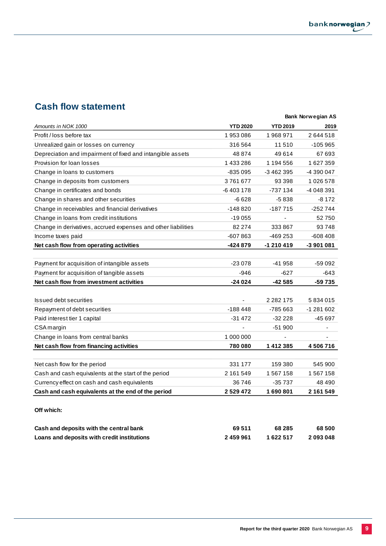## **Cash flow statement**

|                                                               |                          |                 | <b>Bank Norwegian AS</b> |
|---------------------------------------------------------------|--------------------------|-----------------|--------------------------|
| Amounts in NOK 1000                                           | <b>YTD 2020</b>          | <b>YTD 2019</b> | 2019                     |
| Profit / loss before tax                                      | 1953086                  | 1968971         | 2644518                  |
| Unrealized gain or losses on currency                         | 316 564                  | 11510           | -105 965                 |
| Depreciation and impairment of fixed and intangible assets    | 48 874                   | 49614           | 67 693                   |
| Provision for loan losses                                     | 1 433 286                | 1 194 556       | 1627359                  |
| Change in loans to customers                                  | -835 095                 | -3 462 395      | -4 390 047               |
| Change in deposits from customers                             | 3761677                  | 93 398          | 1 026 578                |
| Change in certificates and bonds                              | -6403178                 | -737 134        | -4 048 391               |
| Change in shares and other securities                         | $-6628$                  | $-5838$         | $-8172$                  |
| Change in receivables and financial derivatives               | $-148820$                | $-187715$       | -252 744                 |
| Change in loans from credit institutions                      | $-19055$                 |                 | 52750                    |
| Change in derivatives, accrued expenses and other liabilities | 82 274                   | 333867          | 93748                    |
| Income taxes paid                                             | $-607863$                | -469 253        | -608 408                 |
| Net cash flow from operating activities                       | -424 879                 | $-1210419$      | -3 901 081               |
|                                                               |                          |                 |                          |
| Payment for acquisition of intangible assets                  | $-23078$                 | -41 958         | -59 092                  |
| Payment for acquisition of tangible assets                    | $-946$                   | -627            | -643                     |
| Net cash flow from investment activities                      | $-24024$                 | -42 585         | -59 735                  |
|                                                               |                          |                 |                          |
| <b>Issued debt securities</b>                                 | $\overline{\phantom{a}}$ | 2 2 8 2 1 7 5   | 5834015                  |
| Repayment of debt securities                                  | $-188448$                | -785 663        | -1 281 602               |
| Paid interest tier 1 capital                                  | $-31472$                 | $-32228$        | -45 697                  |
| CSA margin                                                    | ä,                       | $-51900$        |                          |
| Change in loans from central banks                            | 1 000 000                |                 |                          |
| Net cash flow from financing activities                       | 780 080                  | 1412385         | 4 506 716                |
|                                                               |                          |                 |                          |
| Net cash flow for the period                                  | 331 177                  | 159 380         | 545 900                  |
| Cash and cash equivalents at the start of the period          | 2 161 549                | 1 567 158       | 1 567 158                |
| Currency effect on cash and cash equivalents                  | 36746                    | $-35737$        | 48 490                   |
| Cash and cash equivalents at the end of the period            | 2529472                  | 1690801         | 2 161 549                |
| Off which:                                                    |                          |                 |                          |
| والمرموا المواسمات وبوافر والاثرون وبالأسماء وبالراموس        | CO EAA                   | co oor          | co coo                   |

| Cash and deposits with the central bank     | 69511     | 68 285    | 68 500    |
|---------------------------------------------|-----------|-----------|-----------|
| Loans and deposits with credit institutions | 2 459 961 | 1 622 517 | 2 093 048 |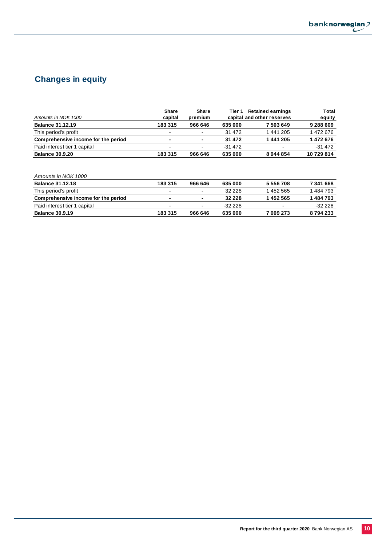

## **Changes in equity**

|                                     | Share                    | Share                    | Tier 1   | <b>Retained earnings</b>   | Total     |
|-------------------------------------|--------------------------|--------------------------|----------|----------------------------|-----------|
| Amounts in NOK 1000                 | capital                  | premium                  |          | capital and other reserves | equity    |
| <b>Balance 31.12.19</b>             | 183315                   | 966 646                  | 635 000  | 7503649                    | 9 288 609 |
| This period's profit                | $\overline{\phantom{0}}$ | $\overline{\phantom{0}}$ | 31 472   | 1441205                    | 1472676   |
| Comprehensive income for the period | ۰                        | $\blacksquare$           | 31 472   | 1441205                    | 1472676   |
| Paid interest tier 1 capital        | $\blacksquare$           | $\overline{\phantom{a}}$ | $-31472$ | $\sim$                     | $-31472$  |
| <b>Balance 30.9.20</b>              | 183315                   | 966 646                  | 635 000  | 8944854                    | 10729814  |

| Amounts in NOK 1000                 |                          |                          |          |                          |           |
|-------------------------------------|--------------------------|--------------------------|----------|--------------------------|-----------|
| <b>Balance 31.12.18</b>             | 183315                   | 966 646                  | 635 000  | 5 556 708                | 7 341 668 |
| This period's profit                | $\overline{\phantom{0}}$ | $\overline{\phantom{a}}$ | 32 2 2 8 | 1452565                  | 1484793   |
| Comprehensive income for the period | $\overline{\phantom{0}}$ | $\blacksquare$           | 32 2 2 8 | 1452565                  | 1484793   |
| Paid interest tier 1 capital        |                          |                          | $-32228$ | $\overline{\phantom{a}}$ | $-32228$  |
| <b>Balance 30.9.19</b>              | 183 315                  | 966 646                  | 635 000  | 7 009 273                | 8794233   |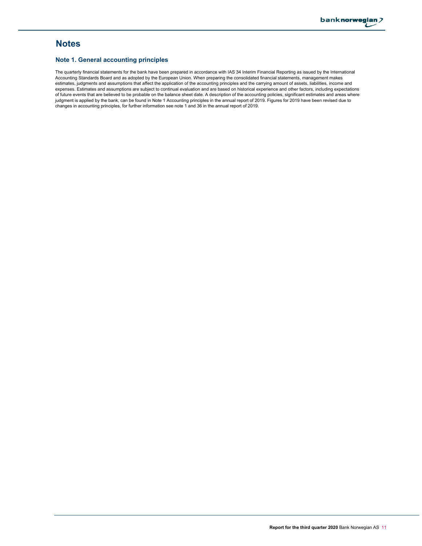## **Notes**

### **Note 1. General accounting principles**

The quarterly financial statements for the bank have been prepared in accordance with IAS 34 Interim Financial Reporting as issued by the International Accounting Standards Board and as adopted by the European Union. When preparing the consolidated financial statements, management makes estimates, judgments and assumptions that affect the application of the accounting principles and the carrying amount of assets, liabilities, income and expenses. Estimates and assumptions are subject to continual evaluation and are based on historical experience and other factors, including expectations of future events that are believed to be probable on the balance sheet date. A description of the accounting policies, significant estimates and areas where judgment is applied by the bank, can be found in Note 1 Accounting principles in the annual report of 2019. Figures for 2019 have been revised due to changes in accounting principles, for further information see note 1 and 36 in the annual report of 2019.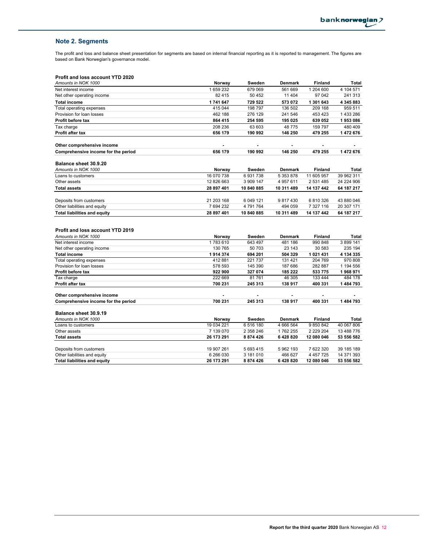## **Note 2. Segments**

The profit and loss and balance sheet presentation for segments are based on internal financial reporting as it is reported to management. The figures are based on Bank Norwegian's governance model.

## **Profit and loss account YTD 2020**

| Amounts in NOK 1000                                            | Norway     | Sweden     | <b>Denmark</b> | <b>Finland</b> | <b>Total</b> |
|----------------------------------------------------------------|------------|------------|----------------|----------------|--------------|
| Net interest income                                            | 1659232    | 679 069    | 561 669        | 1 204 600      | 4 104 571    |
| Net other operating income                                     | 82 415     | 50 452     | 11 404         | 97 042         | 241 313      |
| <b>Total income</b>                                            | 1741647    | 729 522    | 573 072        | 1 301 643      | 4 345 883    |
| Total operating expenses                                       | 415 044    | 198 797    | 136 502        | 209 168        | 959 511      |
| Provision for loan losses                                      | 462 188    | 276 129    | 241 546        | 453 423        | 1433286      |
| Profit before tax                                              | 864 415    | 254 595    | 195 025        | 639 052        | 1953086      |
| Tax charge                                                     | 208 236    | 63 603     | 48775          | 159 797        | 480 409      |
| <b>Profit after tax</b>                                        | 656 179    | 190 992    | 146 250        | 479 255        | 1 472 676    |
| Other comprehensive income                                     |            | ٠          |                | ٠              |              |
| Comprehensive income for the period                            | 656 179    | 190 992    | 146 250        | 479 255        | 1 472 676    |
| Balance sheet 30.9.20                                          |            |            |                |                |              |
| Amounts in NOK 1000                                            | Norway     | Sweden     | Denmark        | Finland        | Total        |
| Loans to customers                                             | 16 070 738 | 6931738    | 5 353 878      | 11 605 957     | 39 962 311   |
| Other assets                                                   | 12 826 663 | 3 909 147  | 4 957 611      | 2 531 485      | 24 224 906   |
| <b>Total assets</b>                                            | 28 897 401 | 10 840 885 | 10 311 489     | 14 137 442     | 64 187 217   |
| Deposits from customers                                        | 21 203 168 | 6 049 121  | 9817430        | 6810326        | 43 880 046   |
| Other liabilities and equity                                   | 7 694 232  | 4791764    | 494 059        | 7 327 116      | 20 307 171   |
|                                                                |            |            |                | 14 137 442     | 64 187 217   |
| <b>Total liabilities and equity</b>                            | 28 897 401 | 10 840 885 | 10 311 489     |                |              |
| <b>Profit and loss account YTD 2019</b><br>Amounts in NOK 1000 | Norway     | Sweden     | <b>Denmark</b> | <b>Finland</b> | Total        |
| Net interest income                                            | 1783610    | 643 497    | 481 186        | 990 848        | 3 899 141    |
| Net other operating income                                     | 130 765    | 50 703     | 23 143         | 30 583         | 235 194      |
| <b>Total income</b>                                            | 1914374    | 694 201    | 504 329        | 1 021 431      | 4 134 335    |
| Total operating expenses                                       | 412 881    | 221 737    | 131 421        | 204 769        | 970 808      |
| Provision for loan losses                                      | 578 593    | 145 390    | 187 686        | 282 887        | 1 194 556    |
| Profit before tax                                              | 922 900    | 327 074    | 185 222        | 533 775        | 1968971      |
| Tax charge                                                     | 222 669    | 81761      | 46 305         | 133 444        | 484 178      |
| Profit after tax                                               | 700 231    | 245 313    | 138 917        | 400 331        | 1 484 793    |
| Other comprehensive income                                     |            |            |                |                |              |
| Comprehensive income for the period                            | 700 231    | 245 313    | 138 917        | 400 331        | 1484793      |
| Balance sheet 30.9.19                                          |            |            |                |                |              |
| Amounts in NOK 1000                                            | Norway     | Sweden     | <b>Denmark</b> | <b>Finland</b> | <b>Total</b> |
| Loans to customers                                             | 19 034 221 | 6516180    | 4 666 564      | 9850842        | 40 067 806   |
| Other assets                                                   | 7 139 070  | 2 358 246  | 1762255        | 2 2 2 9 2 0 4  | 13 488 776   |
| <b>Total assets</b>                                            | 26 173 291 | 8 874 426  | 6428820        | 12 080 046     | 53 556 582   |
| Deposits from customers                                        | 19 907 261 | 5 693 415  | 5962193        | 7 622 320      | 39 185 189   |
| Other liabilities and equity                                   | 6 266 030  | 3 181 010  | 466 627        | 4 4 5 7 7 2 5  | 14 371 393   |
| <b>Total liabilities and equity</b>                            | 26 173 291 | 8 874 426  | 6428820        | 12 080 046     | 53 556 582   |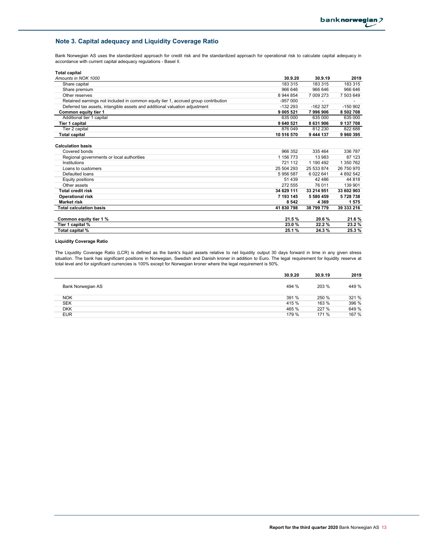## **Note 3. Capital adequacy and Liquidity Coverage Ratio**

Bank Norwegian AS uses the standardized approach for credit risk and the standardized approach for operational risk to calculate capital adequacy in accordance with current capital adequacy regulations - Basel II.

| <b>Total capital</b>                                                                   |                      |                   |                   |
|----------------------------------------------------------------------------------------|----------------------|-------------------|-------------------|
| Amounts in NOK 1000                                                                    | 30.9.20              | 30.9.19           | 2019              |
| Share capital                                                                          | 183 315              | 183 315           | 183 315           |
| Share premium                                                                          | 966 646              | 966 646           | 966 646           |
| Other reserves                                                                         | 8 944 854            | 7 009 273         | 7 503 649         |
| Retained earnings not included in common equity tier 1, accrued group contribution     | $-957000$            |                   |                   |
| Deferred tax assets, intangible assets and additional valuation adjustment             | $-132293$            | $-162327$         | $-150902$         |
| <b>Common equity tier 1</b>                                                            | 9 005 521            | 7996906           | 8 502 708         |
| Additional tier 1 capital                                                              | 635 000              | 635 000           | 635 000           |
| <b>Tier 1 capital</b>                                                                  | 9 640 521            | 8 631 906         | 9 137 708         |
| Tier 2 capital                                                                         | 876 049              | 812 230           | 822 688           |
| <b>Total capital</b>                                                                   | 10 516 570           | 9 444 137         | 9960395           |
| <b>Calculation basis</b><br>Covered bonds<br>Regional governments or local authorities | 966 352<br>1 156 773 | 335 464<br>13 983 | 336 787<br>87 123 |
| Institutions                                                                           | 721 112              | 1 190 492         | 1 350 762         |
| Loans to customers                                                                     | 25 504 293           | 25 533 874        | 26 750 970        |
| Defaulted loans                                                                        | 5956587              | 6 022 641         | 4 892 542         |
| <b>Equity positions</b>                                                                | 51 439               | 42 486            | 44 8 18           |
| Other assets                                                                           | 272 555              | 76 011            | 139 901           |
| <b>Total credit risk</b>                                                               | 34 629 111           | 33 214 951        | 33 602 903        |
| <b>Operational risk</b>                                                                | 7 193 145            | 5 580 459         | 5728738           |
| <b>Market risk</b>                                                                     | 8542                 | 4 3 6 9           | 1575              |
| <b>Total calculation basis</b>                                                         | 41 830 798           | 38 799 779        | 39 333 216        |
| Common equity tier 1 %                                                                 | 21.5%                | 20.6%             | 21.6 %            |
| Tier 1 capital %                                                                       | 23.0%                | 22.2%             | 23.2%             |
| Total capital %                                                                        | 25.1%                | 24.3%             | 25.3%             |

#### **Liquidity Coverage Ratio**

The Liquidity Coverage Ratio (LCR) is defined as the bank's liquid assets relative to net liquidity output 30 days forward in time in any given stress situation. The bank has significant positions in Norwegian, Swedish and Danish kroner in addition to Euro. The legal requirement for liquidity reserve at total level and for significant currencies is 100% except for Norwegian kroner where the legal requirement is 50%.

|                   | 30.9.20 | 30.9.19 | 2019  |
|-------------------|---------|---------|-------|
| Bank Norwegian AS | 494 %   | 203 %   | 449 % |
| <b>NOK</b>        | 391 %   | 250 %   | 321 % |
| <b>SEK</b>        | 415 %   | 163 %   | 396 % |
| <b>DKK</b>        | 465 %   | 227 %   | 649 % |
| <b>EUR</b>        | 179 %   | 171 %   | 167 % |
|                   |         |         |       |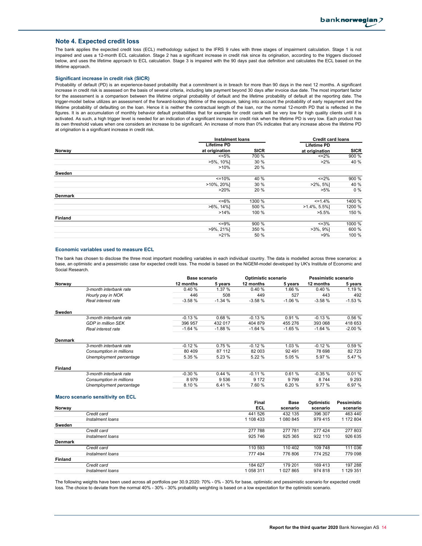#### **Note 4. Expected credit loss**

The bank applies the expected credit loss (ECL) methodology subject to the IFRS 9 rules with three stages of impairment calculation. Stage 1 is not impaired and uses a 12-month ECL calculation. Stage 2 has a significant increase in credit risk since its origination, according to the triggers disclosed below, and uses the lifetime approach to ECL calculation. Stage 3 is impaired with the 90 days past due definition and calculates the ECL based on the lifetime approach.

#### **Significant increase in credit risk (SICR)**

Probability of default (PD) is an experience-based probability that a commitment is in breach for more than 90 days in the next 12 months. A significant increase in credit risk is assessed on the basis of several criteria, including late payment beyond 30 days after invoice due date. The most important factor for the assessment is a comparison between the lifetime original probability of default and the lifetime probability of default at the reporting date. The trigger-model below utilizes an assessment of the forward-looking lifetime of the exposure, taking into account the probability of early repayment and the lifetime probability of defaulting on the loan. Hence it is neither the contractual length of the loan, nor the normal 12-month PD that is reflected in the figures. It is an accumulation of monthly behavior default probabilities that for example for credit cards will be very low for high quality clients until it is activated. As such, a high trigger level is needed for an indication of a significant increase in credit risk when the lifetime PD is very low. Each product has its own threshold values when one considers an increase to be significant. An increase of more than 0% indicates that any increase above the lifetime PD at origination is a significant increase in credit risk.

|                | <b>Instalment loans</b> |             | <b>Credit card loans</b> |             |
|----------------|-------------------------|-------------|--------------------------|-------------|
|                | <b>Lifetime PD</b>      |             | <b>Lifetime PD</b>       |             |
| Norway         | at origination          | <b>SICR</b> | at origination           | <b>SICR</b> |
|                | $\leq 5\%$              | 700 %       | $\leq$ =2%               | 900 %       |
|                | $>5\%$ , 10%]           | 30 %        | $>2\%$                   | 40 %        |
|                | >10%                    | 20 %        |                          |             |
| Sweden         |                         |             |                          |             |
|                | $=10%$                  | 40 %        | $\leq$ =2%               | 900 %       |
|                | $>10\%$ , 20%]          | 30 %        | $>2\%$ , 5%]             | 40 %        |
|                | $>20\%$                 | 20 %        | $>5\%$                   | $0\%$       |
| <b>Denmark</b> |                         |             |                          |             |
|                | $<=6\%$                 | 1300 %      | $\leq$ = 1.4%            | 1400 %      |
|                | $>6\%$ , 14%]           | 500 %       | $>1.4\%$ , 5.5%]         | 1200 %      |
|                | $>14\%$                 | 100 %       | $>5.5\%$                 | 150 %       |
| <b>Finland</b> |                         |             |                          |             |
|                | $\leq$ =9%              | 900 %       | $\leq 3\%$               | 1000 %      |
|                | $>9\%$ , 21%]           | 350 %       | $>3\%$ , 9%]             | 600 %       |
|                | >21%                    | 50 %        | $>9\%$                   | 100 %       |
|                |                         |             |                          |             |

#### **Economic variables used to measure ECL**

The bank has chosen to disclose the three most important modelling variables in each individual country. The data is modelled across three scenarios: a base, an optimistic and a pessimistic case for expected credit loss. The model is based on the NiGEM-model developed by UK's Institute of Economic and Social Research.

|                |                                   | Base scenario |          | Optimistic scenario |             | Pessimistic scenario |                    |
|----------------|-----------------------------------|---------------|----------|---------------------|-------------|----------------------|--------------------|
| Norway         |                                   | 12 months     | 5 years  | 12 months           | 5 years     | 12 months            | 5 years            |
|                | 3-month interbank rate            | 0.40%         | 1.37 %   | 0.40%               | 1.66 %      | 0.40%                | 1.19 %             |
|                | Hourly pay in NOK                 | 446           | 508      | 449                 | 527         | 443                  | 492                |
|                | Real interest rate                | $-3.58%$      | $-1.34%$ | $-3.58%$            | $-1.06%$    | $-3.58%$             | $-1.53%$           |
| Sweden         |                                   |               |          |                     |             |                      |                    |
|                | 3-month interbank rate            | $-0.13%$      | 0.68%    | $-0.13%$            | 0.91%       | $-0.13%$             | 0.56%              |
|                | <b>GDP</b> in million SEK         | 396 957       | 432 017  | 404 879             | 455 276     | 393 068              | 418 653            |
|                | Real interest rate                | $-1.64%$      | $-1.88%$ | $-1.64%$            | $-1.65%$    | $-1.64%$             | $-2.00%$           |
| Denmark        |                                   |               |          |                     |             |                      |                    |
|                | 3-month interbank rate            | $-0.12%$      | 0.75%    | $-0.12%$            | 1.03 %      | $-0.12%$             | 0.59%              |
|                | Consumption in millions           | 80 409        | 87 112   | 82 003              | 92 491      | 78 698               | 82723              |
|                | Unemployment percentage           | 5.35 %        | 5.23 %   | 5.22 %              | 5.05 %      | 5.97 %               | 5.47 %             |
| Finland        |                                   |               |          |                     |             |                      |                    |
|                | 3-month interbank rate            | $-0.30%$      | 0.44%    | $-0.11%$            | 0.61%       | $-0.35%$             | 0.01%              |
|                | Consumption in millions           | 8979          | 9536     | 9 1 7 2             | 9799        | 8744                 | 9 2 9 3            |
|                | Unemployment percentage           | 8.10%         | 6.41%    | 7.60%               | 6.20%       | 9.77 %               | 6.97 %             |
|                | Macro scenario sensitivity on ECL |               |          |                     |             |                      |                    |
|                |                                   |               |          | <b>Final</b>        | <b>Base</b> | Optimistic           | <b>Pessimistic</b> |
| Norway         |                                   |               |          | ECL                 | scenario    | scenario             | scenario           |
|                | Credit card                       |               |          | 441 526             | 432 135     | 396 307              | 463 440            |
|                | Instalment loans                  |               |          | 1 108 433           | 1 080 845   | 979 415              | 1 172 804          |
| Sweden         |                                   |               |          |                     |             |                      |                    |
|                | Credit card                       |               |          | 277 788             | 277 781     | 277 424              | 277803             |
|                | Instalment loans                  |               |          | 925 746             | 925 365     | 922 110              | 926 635            |
| <b>Denmark</b> |                                   |               |          |                     |             |                      |                    |
|                | Credit card                       |               |          | 110 593             | 110 402     | 109 748              | 111 036            |
|                | Instalment loans                  |               |          | 777 494             | 776 806     | 774 252              | 779 098            |
| <b>Finland</b> |                                   |               |          |                     |             |                      |                    |
|                | Credit card                       |               |          | 184 627             | 179 201     | 169 413              | 197 288            |

The following weights have been used across all portfolios per 30.9.2020: 70% - 0% - 30% for base, optimistic and pessimistic scenario for expected credit loss. The choice to deviate from the normal 40% - 30% - 30% probability weighting is based on a low expectation for the optimistic scenario.

*Instalment loans* 1 058 311 1 027 865 974 818 1 129 351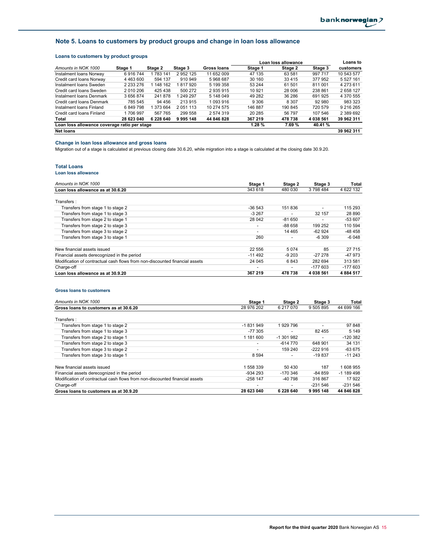## **Note 5. Loans to customers by product groups and change in loan loss allowance**

## **Loans to customers by product groups**

| Loans to castomers by product groups         |               |           |               |                    |         |                     |           |            |
|----------------------------------------------|---------------|-----------|---------------|--------------------|---------|---------------------|-----------|------------|
|                                              |               |           |               |                    |         | Loan loss allowance |           | Loans to   |
| Amounts in NOK 1000                          | Stage 1       | Stage 2   | Stage 3       | <b>Gross loans</b> | Stage 1 | Stage 2             | Stage 3   | customers  |
| Instalment Ioans Norway                      | 6916744       | 783 141   | 2952125       | 11 652 009         | 47 135  | 63 581              | 997 717   | 10 543 577 |
| Credit card loans Norway                     | 4 463 600     | 594 137   | 910 949       | 5968687            | 30 160  | 33 4 15             | 377 952   | 5 527 161  |
| Instalment Ioans Sweden                      | 2 2 3 2 2 7 6 | 1 148 162 | 1817920       | 5 199 358          | 53 244  | 61 501              | 811 001   | 4 273 611  |
| Credit card loans Sweden                     | 2 010 206     | 425 438   | 500 272       | 2 935 915          | 10 921  | 28 006              | 238 861   | 2658127    |
| Instalment Ioans Denmark                     | 3 656 874     | 241 878   | 1 249 297     | 5 148 049          | 49 282  | 36 286              | 691 925   | 4 370 555  |
| Credit card loans Denmark                    | 785 545       | 94 456    | 213 915       | 1 093 916          | 9 3 0 6 | 8 3 0 7             | 92 980    | 983 323    |
| Instalment Ioans Finland                     | 6849798       | 1 373 664 | 2 0 5 1 1 1 3 | 10 274 575         | 146 887 | 190 845             | 720 579   | 9 216 265  |
| Credit card loans Finland                    | 1706997       | 567 765   | 299 558       | 2 574 319          | 20 285  | 56 797              | 107 546   | 2 389 692  |
| Total                                        | 28 623 040    | 6 228 640 | 9995148       | 44 846 828         | 367 219 | 478 738             | 4 038 561 | 39 962 311 |
| Loan loss allowance coverage ratio per stage |               |           |               |                    | 1.28%   | 7.69 %              | 40.41 %   |            |
| <b>Net loans</b>                             |               |           |               |                    |         |                     |           | 39 962 311 |

#### **Change in loan loss allowance and gross loans**

Migration out of a stage is calculated at previous closing date 30.6.20, while migration into a stage is calculated at the closing date 30.9.20.

## **Total Loans**

#### **Loan loss allowance**

| Amounts in NOK 1000                                                         | Stage 1  | Stage 2                  | Stage 3   | Total     |
|-----------------------------------------------------------------------------|----------|--------------------------|-----------|-----------|
| Loan loss allowance as at 30.6.20                                           | 343 618  | 480 030                  | 3798484   | 4 622 132 |
| Transfers:                                                                  |          |                          |           |           |
| Transfers from stage 1 to stage 2                                           | $-36543$ | 151836                   | ٠         | 115 293   |
| Transfers from stage 1 to stage 3                                           | $-3,267$ |                          | 32 157    | 28 890    |
| Transfers from stage 2 to stage 1                                           | 28 042   | $-81650$                 |           | -53 607   |
| Transfers from stage 2 to stage 3                                           | -        | $-88658$                 | 199 252   | 110 594   |
| Transfers from stage 3 to stage 2                                           | -        | 14 4 65                  | $-62924$  | -48 458   |
| Transfers from stage 3 to stage 1                                           | 260      |                          | $-6309$   | $-6048$   |
| New financial assets issued                                                 | 22 556   | 5074                     | 85        | 27 7 15   |
| Financial assets derecognized in the period                                 | $-11492$ | $-9203$                  | $-27278$  | -47 973   |
| Modification of contractual cash flows from non-discounted financial assets | 24 045   | 6843                     | 282 694   | 313 581   |
| Charge-off                                                                  | -        | $\overline{\phantom{a}}$ | $-177603$ | $-177603$ |
| Loan loss allowance as at 30.9.20                                           | 367 219  | 478 738                  | 4 038 561 | 4884517   |

#### **Gross loans to customers**

| Amounts in NOK 1000                                                         | Stage 1    | Stage 2    | Stage 3    | Total      |
|-----------------------------------------------------------------------------|------------|------------|------------|------------|
| Gross loans to customers as at 30.6.20                                      | 28 976 202 | 6 217 070  | 9 505 895  | 44 699 166 |
| Transfers:                                                                  |            |            |            |            |
| Transfers from stage 1 to stage 2                                           | -1831949   | 1929796    |            | 97848      |
| Transfers from stage 1 to stage 3                                           | $-77.305$  | -          | 82 455     | 5 1 4 9    |
| Transfers from stage 2 to stage 1                                           | 1 181 600  | -1 301 982 |            | $-120382$  |
| Transfers from stage 2 to stage 3                                           | ۰          | $-614770$  | 648 901    | 34 131     |
| Transfers from stage 3 to stage 2                                           |            | 159 240    | $-222916$  | $-63675$   |
| Transfers from stage 3 to stage 1                                           | 8 5 9 4    |            | $-19837$   | $-11243$   |
| New financial assets issued                                                 | 1 558 339  | 50 430     | 187        | 1608955    |
| Financial assets derecognized in the period                                 | $-934293$  | $-170.346$ | $-84.859$  | $-1189498$ |
| Modification of contractual cash flows from non-discounted financial assets | $-258$ 147 | -40 798    | 316867     | 17922      |
| Charge-off                                                                  | -          |            | $-231.546$ | $-231.546$ |
| Gross loans to customers as at 30.9.20                                      | 28 623 040 | 6 228 640  | 9995148    | 44 846 828 |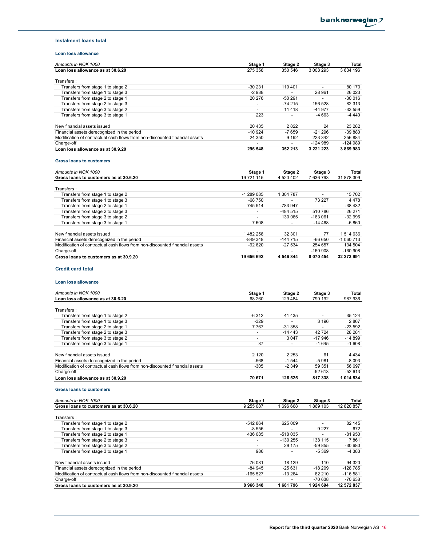#### **Instalment loans total**

### **Loan loss allowance**

| Amounts in NOK 1000                                                         | Stage 1                  | Stage 2  | Stage 3       | <b>Total</b> |
|-----------------------------------------------------------------------------|--------------------------|----------|---------------|--------------|
| Loan loss allowance as at 30.6.20                                           | 275 358                  | 350 546  | 3 008 293     | 3 634 196    |
| Transfers :                                                                 |                          |          |               |              |
| Transfers from stage 1 to stage 2                                           | $-30231$                 | 110 401  |               | 80 170       |
| Transfers from stage 1 to stage 3                                           | $-2938$                  |          | 28 961        | 26 0 23      |
| Transfers from stage 2 to stage 1                                           | 20 276                   | $-50291$ |               | $-30016$     |
| Transfers from stage 2 to stage 3                                           | $\overline{\phantom{a}}$ | $-74215$ | 156 528       | 82 313       |
| Transfers from stage 3 to stage 2                                           | $\overline{\phantom{a}}$ | 11 4 18  | -44 977       | $-33559$     |
| Transfers from stage 3 to stage 1                                           | 223                      |          | $-4663$       | $-4440$      |
| New financial assets issued                                                 | 20 4 35                  | 2822     | 24            | 23 28 2      |
| Financial assets derecognized in the period                                 | $-10.924$                | $-7659$  | $-21296$      | $-39880$     |
| Modification of contractual cash flows from non-discounted financial assets | 24 350                   | 9 1 9 2  | 223 342       | 256 884      |
| Charge-off                                                                  | $\overline{\phantom{a}}$ |          | -124 989      | $-124989$    |
| Loan loss allowance as at 30.9.20                                           | 296 548                  | 352 213  | 3 2 2 1 2 2 3 | 3869983      |

### **Gross loans to customers**

| Amounts in NOK 1000                                                         | Stage 1                  | Stage 2   | Stage 3       | Total      |
|-----------------------------------------------------------------------------|--------------------------|-----------|---------------|------------|
| Gross loans to customers as at 30.6.20                                      | 19 721 115               | 4 520 402 | 7636793       | 31 878 309 |
| Transfers:                                                                  |                          |           |               |            |
| Transfers from stage 1 to stage 2                                           | $-1289085$               | 1 304 787 |               | 15 702     |
| Transfers from stage 1 to stage 3                                           | $-68750$                 |           | 73 227        | 4478       |
| Transfers from stage 2 to stage 1                                           | 745 514                  | -783 947  | ۰             | $-38432$   |
| Transfers from stage 2 to stage 3                                           | $\overline{\phantom{a}}$ | -484 515  | 510 786       | 26 271     |
| Transfers from stage 3 to stage 2                                           |                          | 130 065   | $-163061$     | $-32996$   |
| Transfers from stage 3 to stage 1                                           | 7608                     |           | $-14468$      | $-6860$    |
| New financial assets issued                                                 | 1482258                  | 32 301    | 77            | 514 636    |
| Financial assets derecognized in the period                                 | -849 348                 | $-144715$ | -66 650       | $-1060713$ |
| Modification of contractual cash flows from non-discounted financial assets | $-92620$                 | $-27534$  | 254 657       | 134 504    |
| Charge-off                                                                  |                          |           | -160 908      | $-160908$  |
| Gross loans to customers as at 30.9.20                                      | 19 656 692               | 4 546 844 | 8 0 7 0 4 5 4 | 32 273 991 |

## **Credit card total**

### **Loan loss allowance**

| Amounts in NOK 1000                                                         | Stage 1 | Stage 2   | Stage 3  | Total     |
|-----------------------------------------------------------------------------|---------|-----------|----------|-----------|
| Loan loss allowance as at 30.6.20                                           | 68 260  | 129 484   | 790 192  | 987 936   |
| Transfers:                                                                  |         |           |          |           |
| Transfers from stage 1 to stage 2                                           | $-6312$ | 41 4 35   |          | 35 1 24   |
| Transfers from stage 1 to stage 3                                           | $-329$  |           | 3 1 9 6  | 2867      |
| Transfers from stage 2 to stage 1                                           | 7 7 6 7 | $-31.358$ | ٠        | $-23592$  |
| Transfers from stage 2 to stage 3                                           |         | $-14443$  | 42724    | 28 28 1   |
| Transfers from stage 3 to stage 2                                           | -       | 3 0 4 7   | $-17946$ | $-14899$  |
| Transfers from stage 3 to stage 1                                           | 37      |           | $-1645$  | $-1608$   |
| New financial assets issued                                                 | 2 1 2 0 | 2 2 5 3   | 61       | 4 4 3 4   |
| Financial assets derecognized in the period                                 | -568    | $-1544$   | $-5981$  | $-8093$   |
| Modification of contractual cash flows from non-discounted financial assets | $-305$  | $-2.349$  | 59 351   | 56 697    |
| Charge-off                                                                  | -       |           | $-52613$ | $-52613$  |
| Loan loss allowance as at 30.9.20                                           | 70 671  | 126 525   | 817338   | 1 014 534 |

### **Gross loans to customers**

| Amounts in NOK 1000                                                         | Stage 1                  | Stage 2   | Stage 3  | Total      |
|-----------------------------------------------------------------------------|--------------------------|-----------|----------|------------|
| Gross loans to customers as at 30.6.20                                      | 9 255 087                | 1 696 668 | 869 103  | 12 820 857 |
| Transfers:                                                                  |                          |           |          |            |
| Transfers from stage 1 to stage 2                                           | $-542864$                | 625 009   |          | 82 145     |
| Transfers from stage 1 to stage 3                                           | $-8556$                  |           | 9 2 2 7  | 672        |
| Transfers from stage 2 to stage 1                                           | 436 085                  | $-518035$ |          | $-81950$   |
| Transfers from stage 2 to stage 3                                           |                          | $-130255$ | 138 115  | 7861       |
| Transfers from stage 3 to stage 2                                           | $\overline{\phantom{a}}$ | 29 175    | -59 855  | $-30680$   |
| Transfers from stage 3 to stage 1                                           | 986                      |           | $-5.369$ | -4 383     |
| New financial assets issued                                                 | 76 081                   | 18 129    | 110      | 94 320     |
| Financial assets derecognized in the period                                 | $-84.945$                | $-25631$  | $-18209$ | -128 785   |
| Modification of contractual cash flows from non-discounted financial assets | $-165527$                | $-13264$  | 62 210   | $-116581$  |
| Charge-off                                                                  |                          |           | $-70638$ | -70 638    |
| Gross loans to customers as at 30.9.20                                      | 8966348                  | 1681796   | 1924 694 | 12 572 837 |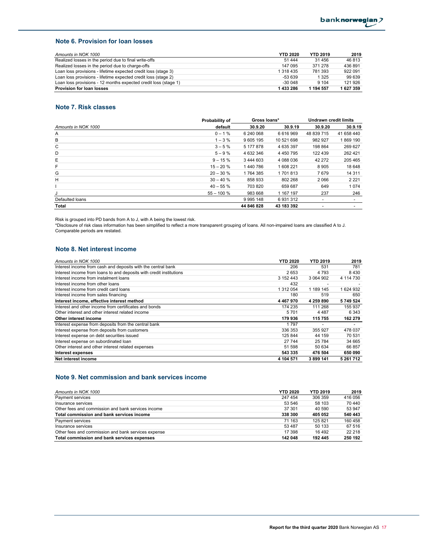## **Note 6. Provision for loan losses**

| Amounts in NOK 1000                                             | <b>YTD 2020</b> | <b>YTD 2019</b> | 2019    |
|-----------------------------------------------------------------|-----------------|-----------------|---------|
| Realized losses in the period due to final write-offs           | 51 444          | 31 456          | 46 813  |
| Realized losses in the period due to charge-offs                | 147 095         | 371 278         | 436891  |
| Loan loss provisions - lifetime expected credit loss (stage 3)  | 1 318 435       | 781 393         | 922 091 |
| Loan loss provisions - lifetime expected credit loss (stage 2)  | $-53639$        | 1 3 2 5         | 99 639  |
| Loan loss provisions - 12 months expected credit loss (stage 1) | $-300048$       | 9 1 0 4         | 121 926 |
| <b>Provision for loan losses</b>                                | 1 433 286       | 1 194 557       | 1627359 |

## **Note 7. Risk classes**

|                     | Probability of<br>Gross loans* |            | <b>Undrawn credit limits</b> |            |            |
|---------------------|--------------------------------|------------|------------------------------|------------|------------|
| Amounts in NOK 1000 | default                        | 30.9.20    | 30.9.19                      | 30.9.20    | 30.9.19    |
| Α                   | $0 - 1 \%$                     | 6 240 068  | 6616969                      | 48 839 715 | 41 658 440 |
| В                   | $1 - 3%$                       | 9 605 195  | 10 521 698                   | 982 927    | 1869 190   |
| C                   | $3 - 5%$                       | 5 177 878  | 4 635 397                    | 198 864    | 269 627    |
| D                   | $5 - 9%$                       | 4 632 346  | 4 4 5 0 7 9 5                | 122 439    | 262 421    |
| Е                   | $9 - 15%$                      | 3 444 603  | 4 088 036                    | 42 272     | 205 465    |
| F                   | $15 - 20%$                     | 1440786    | 1608221                      | 8905       | 18 648     |
| G                   | $20 - 30 \%$                   | 1764385    | 1701813                      | 7679       | 14 3 11    |
| Η                   | $30 - 40%$                     | 858 933    | 802 268                      | 2066       | 2 2 2 1    |
|                     | $40 - 55%$                     | 703 820    | 659 687                      | 649        | 1074       |
| J                   | $55 - 100 %$                   | 983 668    | 1 167 197                    | 237        | 246        |
| Defaulted loans     |                                | 9995 148   | 6931312                      |            |            |
| Total               |                                | 44 846 828 | 43 183 392                   |            |            |

Risk is grouped into PD bands from A to J, with A being the lowest risk.

\*Disclosure of risk class information has been simplified to reflect a more transparent grouping of loans. All non-impaired loans are classified A to J. Comparable periods are restated.

#### **Note 8. Net interest income**

| Amounts in NOK 1000                                                 | <b>YTD 2020</b> | <b>YTD 2019</b> | 2019      |
|---------------------------------------------------------------------|-----------------|-----------------|-----------|
| Interest income from cash and deposits with the central bank        | 206             | 531             | 781       |
| Interest income from loans to and deposits with credit institutions | 2653            | 4 7 9 3         | 8430      |
| Interest income from instalment loans                               | 3 152 443       | 3 064 902       | 4 114 730 |
| Interest income from other loans                                    | 432             | -               |           |
| Interest income from credit card loans                              | 1 312 054       | 1 189 145       | 1624932   |
| Interest income from sales financing                                | 180             | 519             | 650       |
| Interest income, effective interest method                          | 4 467 970       | 4 259 890       | 5749524   |
| Interest and other income from certificates and bonds               | 174 235         | 111 268         | 155 937   |
| Other interest and other interest related income                    | 5701            | 4 4 8 7         | 6 3 4 3   |
| Other interest income                                               | 179 936         | 115 755         | 162 279   |
| Interest expense from deposits from the central bank                | 1 7 9 7         |                 |           |
| Interest expense from deposits from customers                       | 336 353         | 355 927         | 478 037   |
| Interest expense on debt securities issued                          | 125 844         | 44 159          | 70 531    |
| Interest expense on subordinated loan                               | 27 744          | 25 7 84         | 34 665    |
| Other interest and other interest related expenses                  | 51 598          | 50 634          | 66 857    |
| Interest expenses                                                   | 543 335         | 476 504         | 650 090   |
| Net interest income                                                 | 4 104 571       | 3899141         | 5 261 712 |

## **Note 9. Net commission and bank services income**

| Amounts in NOK 1000                                 | <b>YTD 2020</b> | <b>YTD 2019</b> | 2019    |
|-----------------------------------------------------|-----------------|-----------------|---------|
| Payment services                                    | 247 454         | 306 359         | 416 056 |
| Insurance services                                  | 53 546          | 58 103          | 70 440  |
| Other fees and commission and bank services income  | 37 301          | 40 590          | 53 947  |
| Total commission and bank services income           | 338 300         | 405 052         | 540 443 |
| Payment services                                    | 71 163          | 125 821         | 160 458 |
| Insurance services                                  | 53 487          | 50 133          | 67 516  |
| Other fees and commission and bank services expense | 17 398          | 16 492          | 22 218  |
| Total commission and bank services expenses         | 142 048         | 192 445         | 250 192 |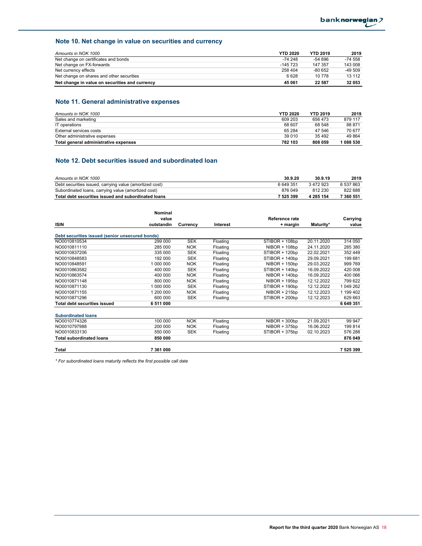## **Note 10. Net change in value on securities and currency**

| Amounts in NOK 1000                            | <b>YTD 2020</b> | <b>YTD 2019</b> | 2019      |
|------------------------------------------------|-----------------|-----------------|-----------|
| Net change on certificates and bonds           | $-74248$        | $-54896$        | $-74.558$ |
| Net change on FX-forwards                      | $-145723$       | 147 357         | 143 008   |
| Net currency effects                           | 258 404         | $-80652$        | $-49.509$ |
| Net change on shares and other securities      | 6628            | 10 778          | 13 112    |
| Net change in value on securities and currency | 45 061          | 22 587          | 32 053    |

## **Note 11. General administrative expenses**

| Amounts in NOK 1000                   | <b>YTD 2020</b> | <b>YTD 2019</b> | 2019    |
|---------------------------------------|-----------------|-----------------|---------|
| Sales and marketing                   | 609 203         | 656 473         | 879 117 |
| IT operations                         | 68 607          | 68 548          | 88 871  |
| External services costs               | 65 284          | 47 546          | 70 677  |
| Other administrative expenses         | 39 010          | 35 4 9 2        | 49864   |
| Total general administrative expenses | 782 103         | 808 059         | 1088530 |

## **Note 12. Debt securities issued and subordinated loan**

| Amounts in NOK 1000                                     | 30.9.20 | 30.9.19   | 2019      |
|---------------------------------------------------------|---------|-----------|-----------|
| Debt securities issued, carrying value (amortized cost) | 6649351 | 3472923   | 6 537 863 |
| Subordinated loans, carrying value (amortized cost)     | 876 049 | 812 230   | 822 688   |
| Total debt securities issued and subordinated loans     | 7525399 | 4 285 154 | 7 360 551 |

|                                                 | Nominal    |            |          |                 |            |           |
|-------------------------------------------------|------------|------------|----------|-----------------|------------|-----------|
|                                                 | value      |            |          | Reference rate  |            | Carrying  |
| ISIN                                            | outstandin | Currency   | Interest | + margin        | Maturity*  | value     |
| Debt securities issued (senior unsecured bonds) |            |            |          |                 |            |           |
| NO0010810534                                    | 299 000    | <b>SEK</b> | Floating | STIBOR + 108bp  | 20.11.2020 | 314 050   |
| NO0010811110                                    | 285 000    | <b>NOK</b> | Floating | $NIBOR + 108bp$ | 24.11.2020 | 285 380   |
| NO0010837206                                    | 335 000    | <b>SEK</b> | Floating | STIBOR + 120bp  | 22.02.2021 | 352 449   |
| NO0010848583                                    | 192 000    | <b>SEK</b> | Floating | STIBOR + 140bp  | 29.09.2021 | 199 681   |
| NO0010848591                                    | 1 000 000  | <b>NOK</b> | Floating | $NIBOR + 150bp$ | 29.03.2022 | 999 769   |
| NO0010863582                                    | 400 000    | <b>SEK</b> | Floating | STIBOR + 140bp  | 16.09.2022 | 420 008   |
| NO0010863574                                    | 400 000    | <b>NOK</b> | Floating | $NIBOR + 140bp$ | 16.09.2022 | 400 066   |
| NO0010871148                                    | 800 000    | <b>NOK</b> | Floating | $NIBOR + 195bp$ | 12.12.2022 | 799 622   |
| NO0010871130                                    | 1 000 000  | <b>SEK</b> | Floating | STIBOR + 190bp  | 12.12.2022 | 1 049 262 |
| NO0010871155                                    | 1 200 000  | <b>NOK</b> | Floating | $NIBOR + 215bp$ | 12.12.2023 | 1 199 402 |
| NO0010871296                                    | 600 000    | <b>SEK</b> | Floating | STIBOR + 200bp  | 12.12.2023 | 629 663   |
| <b>Total debt securities issued</b>             | 6 511 000  |            |          |                 |            | 6 649 351 |
| <b>Subordinated loans</b>                       |            |            |          |                 |            |           |
| NO0010774326                                    | 100 000    | <b>NOK</b> | Floating | $NIBOR + 300bp$ | 21.09.2021 | 99 947    |
| NO0010797988                                    | 200 000    | <b>NOK</b> | Floating | $NIBOR + 375bp$ | 16.06.2022 | 199 814   |
| NO0010833130                                    | 550 000    | <b>SEK</b> | Floating | STIBOR + 375bp  | 02.10.2023 | 576 288   |
| <b>Total subordinated loans</b>                 | 850 000    |            |          |                 |            | 876 049   |
| Total                                           | 7 361 000  |            |          |                 |            | 7525399   |

*\* For subordinated loans maturity reflects the first possible call date*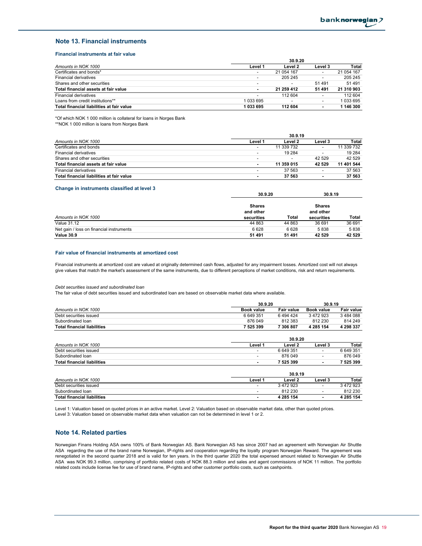### **Note 13. Financial instruments**

#### **Financial instruments at fair value**

|                                           | 30.9.20                  |            |                          |            |
|-------------------------------------------|--------------------------|------------|--------------------------|------------|
| Amounts in NOK 1000                       | Level 1                  | Level 2    | Level 3                  | Total      |
| Certificates and bonds*                   | $\overline{\phantom{0}}$ | 21 054 167 | $\overline{\phantom{a}}$ | 21 054 167 |
| Financial derivatives                     | $\overline{\phantom{0}}$ | 205 245    | $\overline{\phantom{a}}$ | 205 245    |
| Shares and other securities               | $\overline{\phantom{a}}$ |            | 51 491                   | 51 491     |
| Total financial assets at fair value      |                          | 21 259 412 | 51 491                   | 21 310 903 |
| Financial derivatives                     | $\overline{\phantom{0}}$ | 112 604    | $\overline{\phantom{a}}$ | 112 604    |
| Loans from credit institutions**          | 1033695                  |            | $\overline{\phantom{a}}$ | 033 695    |
| Total financial liabilities at fair value | 1033695                  | 112 604    |                          | 1 146 300  |

\*Of which NOK 1 000 million is collateral for loans in Norges Bank

\*\*NOK 1 000 million is loans from Norges Bank

|                                           |                          | 30.9.19                  |                          |            |
|-------------------------------------------|--------------------------|--------------------------|--------------------------|------------|
| Amounts in NOK 1000                       | Level 1                  | Level 2                  | Level 3                  | Total      |
| Certificates and bonds                    | $\overline{\phantom{0}}$ | 11 339 732               | $\overline{\phantom{a}}$ | 11 339 732 |
| Financial derivatives                     | $\overline{\phantom{0}}$ | 19 2 84                  | $\overline{\phantom{a}}$ | 19 2 84    |
| Shares and other securities               | $\overline{\phantom{0}}$ | $\overline{\phantom{0}}$ | 42 529                   | 42 529     |
| Total financial assets at fair value      | $\overline{\phantom{a}}$ | 11 359 015               | 42 529                   | 11 401 544 |
| Financial derivatives                     | $\overline{\phantom{0}}$ | 37 563                   |                          | 37 563     |
| Total financial liabilities at fair value | $\overline{\phantom{a}}$ | 37 563                   | ۰                        | 37 563     |

#### **Change in instruments classified at level 3**

| <u>Unding the motifanities classified at level of</u> | 30.9.20                                  | 30.9.19 |                                          |        |
|-------------------------------------------------------|------------------------------------------|---------|------------------------------------------|--------|
| Amounts in NOK 1000                                   | <b>Shares</b><br>and other<br>securities | Total   | <b>Shares</b><br>and other<br>securities | Total  |
| <b>Value 31.12</b>                                    | 44 863                                   | 44 863  | 36 691                                   | 36 691 |
| Net gain / loss on financial instruments              | 6628                                     | 6628    | 5838                                     | 5838   |
| <b>Value 30.9</b>                                     | 51 491                                   | 51 491  | 42 529                                   | 42 529 |

#### **Fair value of financial instruments at amortized cost**

Financial instruments at amortized cost are valued at originally determined cash flows, adjusted for any impairment losses. Amortized cost will not always give values that match the market's assessment of the same instruments, due to different perceptions of market conditions, risk and return requirements.

#### *Debt securities issued and subordinated loan*

The fair value of debt securities issued and subordinated loan are based on observable market data where available.

|                                    | 30.9.20           | 30.9.19           |                          |                   |  |  |
|------------------------------------|-------------------|-------------------|--------------------------|-------------------|--|--|
| Amounts in NOK 1000                | <b>Book value</b> | <b>Fair value</b> | <b>Book value</b>        | <b>Fair value</b> |  |  |
| Debt securities issued             | 6649351           | 6494424           | 3 472 923                | 3484088           |  |  |
| Subordinated loan                  | 876 049           | 812 383           | 812 230                  | 814 249           |  |  |
| <b>Total financial liabilities</b> | 7 525 399         | 7 306 807         | 4 285 154                | 4 298 337         |  |  |
|                                    |                   | 30.9.20           |                          |                   |  |  |
| Amounts in NOK 1000                | Level 1           | Level 2           | Level 3                  | <b>Total</b>      |  |  |
| Debt securities issued             | -                 | 6 649 351         | $\overline{\phantom{0}}$ | 6649351           |  |  |
| Subordinated loan                  | -                 | 876 049           | $\overline{\phantom{a}}$ | 876 049           |  |  |
| <b>Total financial liabilities</b> | ۰                 | 7 525 399         | $\overline{\phantom{a}}$ | 7 525 399         |  |  |
|                                    |                   | 30.9.19           |                          |                   |  |  |
| Amounts in NOK 1000                | Level 1           | Level 2           | Level 3                  | <b>Total</b>      |  |  |
| Debt securities issued             |                   | 3 472 923         | $\overline{\phantom{0}}$ | 3 472 923         |  |  |
| Subordinated loan                  | -                 | 812 230           | $\overline{\phantom{0}}$ | 812 230           |  |  |
| <b>Total financial liabilities</b> |                   | 4 285 154         | ٠                        | 4 285 154         |  |  |

Level 1: Valuation based on quoted prices in an active market. Level 2: Valuation based on observable market data, other than quoted prices. Level 3: Valuation based on observable market data when valuation can not be determined in level 1 or 2.

### **Note 14. Related parties**

Norwegian Finans Holding ASA owns 100% of Bank Norwegian AS. Bank Norwegian AS has since 2007 had an agreement with Norwegian Air Shuttle ASA regarding the use of the brand name Norwegian, IP-rights and cooperation regarding the loyalty program Norwegian Reward. The agreement was renegotiated in the second quarter 2018 and is valid for ten years. In the third quarter 2020 the total expensed amount related to Norwegian Air Shuttle ASA was NOK 99.3 million, comprising of portfolio related costs of NOK 88.3 million and sales and agent commissions of NOK 11 million. The portfolio related costs include license fee for use of brand name, IP-rights and other customer portfolio costs, such as cashpoints.